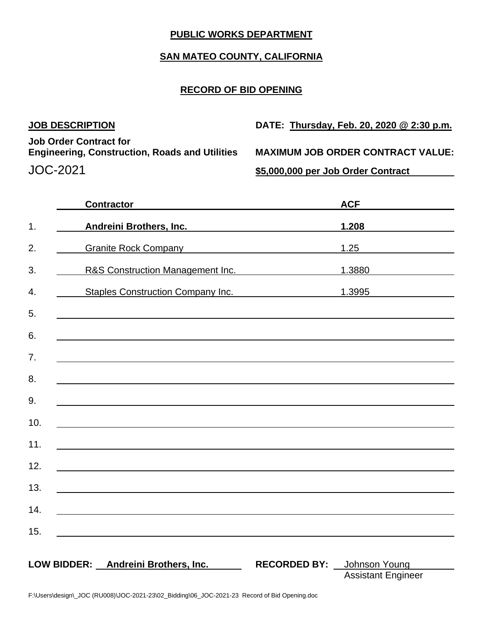## **PUBLIC WORKS DEPARTMENT**

# **SAN MATEO COUNTY, CALIFORNIA**

## **RECORD OF BID OPENING**

| <b>JOB DESCRIPTION</b>                                                                 | DATE: Thursday, Feb. 20, 2020 @ 2:30 p.m. |
|----------------------------------------------------------------------------------------|-------------------------------------------|
| <b>Job Order Contract for</b><br><b>Engineering, Construction, Roads and Utilities</b> | <b>MAXIMUM JOB ORDER CONTRACT VALUE:</b>  |
| JOC-2021                                                                               | \$5,000,000 per Job Order Contract        |

|     | <b>Contractor</b>                                                                                                |                                   | <b>ACF</b><br>the company of the company of the company of |
|-----|------------------------------------------------------------------------------------------------------------------|-----------------------------------|------------------------------------------------------------|
| 1.  | Andreini Brothers, Inc.                                                                                          |                                   | 1.208                                                      |
| 2.  | Granite Rock Company Canada and Company Company Company Company Company Company Company Company Company Company  |                                   | 1.25                                                       |
| 3.  | R&S Construction Management Inc.                                                                                 |                                   | 1.3880                                                     |
| 4.  | Staples Construction Company Inc. 1.3995                                                                         |                                   |                                                            |
| 5.  |                                                                                                                  |                                   |                                                            |
| 6.  |                                                                                                                  |                                   |                                                            |
| 7.  |                                                                                                                  |                                   |                                                            |
| 8.  |                                                                                                                  |                                   |                                                            |
| 9.  | and the control of the control of the control of the control of the control of the control of the control of the |                                   |                                                            |
| 10. |                                                                                                                  |                                   |                                                            |
| 11. |                                                                                                                  |                                   |                                                            |
| 12. |                                                                                                                  |                                   |                                                            |
| 13. |                                                                                                                  |                                   |                                                            |
| 14. |                                                                                                                  |                                   |                                                            |
| 15. |                                                                                                                  |                                   |                                                            |
|     |                                                                                                                  |                                   |                                                            |
|     | LOW BIDDER: Andreini Brothers, Inc.                                                                              | <b>RECORDED BY:</b> Johnson Young | <b>Assistant Engineer</b>                                  |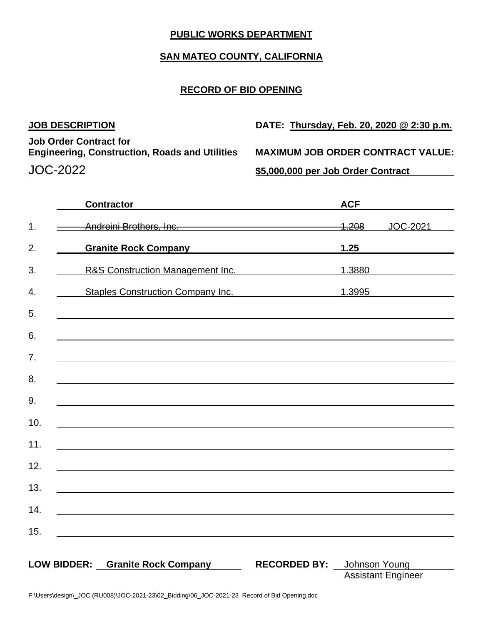## **PUBLIC WORKS DEPARTMENT**

# **SAN MATEO COUNTY, CALIFORNIA**

## **RECORD OF BID OPENING**

| <b>JOB DESCRIPTION</b>                                                                 | DATE: Thursday, Feb. 20, 2020 @ 2:30 p.m. |
|----------------------------------------------------------------------------------------|-------------------------------------------|
| <b>Job Order Contract for</b><br><b>Engineering, Construction, Roads and Utilities</b> | <b>MAXIMUM JOB ORDER CONTRACT VALUE:</b>  |
| JOC-2022                                                                               | \$5,000,000 per Job Order Contract        |

|                    | <b>Contractor</b>                                                                                                     |                     | <b>ACF</b>       |            |
|--------------------|-----------------------------------------------------------------------------------------------------------------------|---------------------|------------------|------------|
| 1.                 | Andreini Brothers, Inc. <b>Manual Andreini Brothers</b>                                                               |                     | <del>1.208</del> | JOC-2021   |
| 2.                 | Granite Rock Company Canadian Communications                                                                          |                     | 1.25             |            |
| 3.                 | R&S Construction Management Inc.                                                                                      |                     | 1.3880           |            |
| 4.                 | Staples Construction Company Inc.                                                                                     |                     |                  | 1.3995 200 |
| 5.                 |                                                                                                                       |                     |                  |            |
| 6.                 | and the control of the control of the control of the control of the control of the control of the control of the      |                     |                  |            |
| 7.                 |                                                                                                                       |                     |                  |            |
| 8.                 |                                                                                                                       |                     |                  |            |
| 9.                 |                                                                                                                       |                     |                  |            |
| 10.                | <u> 1989 - Johann Stoff, deutscher Stoff, der Stoff, der Stoff, der Stoff, der Stoff, der Stoff, der Stoff, der S</u> |                     |                  |            |
| 11.                | <u> 1989 - Johann Harry Barn, mars ar breithinn ar breithinn ar breithinn ar breithinn ar breithinn ar breithin</u>   |                     |                  |            |
| 12.                |                                                                                                                       |                     |                  |            |
| 13.                |                                                                                                                       |                     |                  |            |
| 14.                |                                                                                                                       |                     |                  |            |
| 15.                |                                                                                                                       |                     |                  |            |
|                    |                                                                                                                       |                     |                  |            |
| <b>LOW BIDDER:</b> | <b>Granite Rock Company</b>                                                                                           | <b>RECORDED BY:</b> | Johnson Young    |            |